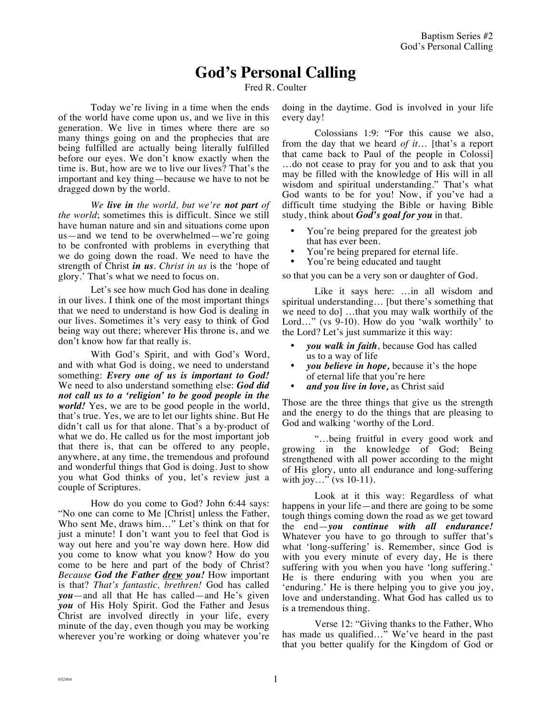## **God's Personal Calling**

Fred R. Coulter

Today we're living in a time when the ends of the world have come upon us, and we live in this generation. We live in times where there are so many things going on and the prophecies that are being fulfilled are actually being literally fulfilled before our eyes. We don't know exactly when the time is. But, how are we to live our lives? That's the important and key thing—because we have to not be dragged down by the world.

*We live in the world, but we're not part of the world*; sometimes this is difficult. Since we still have human nature and sin and situations come upon us—and we tend to be overwhelmed—we're going to be confronted with problems in everything that we do going down the road. We need to have the strength of Christ *in us*. *Christ in us* is the 'hope of glory.' That's what we need to focus on.

Let's see how much God has done in dealing in our lives. I think one of the most important things that we need to understand is how God is dealing in our lives. Sometimes it's very easy to think of God being way out there; wherever His throne is, and we don't know how far that really is.

With God's Spirit, and with God's Word, and with what God is doing, we need to understand something: *Every one of us is important to God!*  We need to also understand something else: *God did not call us to a 'religion' to be good people in the world!* Yes, we are to be good people in the world, that's true. Yes, we are to let our lights shine. But He didn't call us for that alone. That's a by-product of what we do. He called us for the most important job that there is, that can be offered to any people, anywhere, at any time, the tremendous and profound and wonderful things that God is doing. Just to show you what God thinks of you, let's review just a couple of Scriptures.

How do you come to God? John 6:44 says: "No one can come to Me [Christ] unless the Father, Who sent Me, draws him…" Let's think on that for just a minute! I don't want you to feel that God is way out here and you're way down here. How did you come to know what you know? How do you come to be here and part of the body of Christ? *Because God the Father drew you!* How important is that? *That's fantastic, brethren!* God has called *you*—and all that He has called—and He's given *you* of His Holy Spirit. God the Father and Jesus Christ are involved directly in your life, every minute of the day, even though you may be working wherever you're working or doing whatever you're doing in the daytime. God is involved in your life every day!

Colossians 1:9: "For this cause we also, from the day that we heard *of it*… [that's a report that came back to Paul of the people in Colossi] …do not cease to pray for you and to ask that you may be filled with the knowledge of His will in all wisdom and spiritual understanding." That's what God wants to be for you! Now, if you've had a difficult time studying the Bible or having Bible study, think about *God's goal for you* in that.

- You're being prepared for the greatest job that has ever been.
- You're being prepared for eternal life.
- You're being educated and taught

so that you can be a very son or daughter of God.

Like it says here: …in all wisdom and spiritual understanding… [but there's something that we need to do] …that you may walk worthily of the Lord…" (vs 9-10). How do you 'walk worthily' to the Lord? Let's just summarize it this way:

- *you walk in faith*, because God has called us to a way of life
- *you believe in hope,* because it's the hope of eternal life that you're here
- *and you live in love,* as Christ said

Those are the three things that give us the strength and the energy to do the things that are pleasing to God and walking 'worthy of the Lord.

"…being fruitful in every good work and growing in the knowledge of God; Being strengthened with all power according to the might of His glory, unto all endurance and long-suffering with joy..." (vs 10-11).

Look at it this way: Regardless of what happens in your life—and there are going to be some tough things coming down the road as we get toward the end—*you continue with all endurance!* Whatever you have to go through to suffer that's what 'long-suffering' is. Remember, since God is with you every minute of every day, He is there suffering with you when you have 'long suffering.' He is there enduring with you when you are 'enduring.' He is there helping you to give you joy, love and understanding. What God has called us to is a tremendous thing.

Verse 12: "Giving thanks to the Father, Who has made us qualified..." We've heard in the past that you better qualify for the Kingdom of God or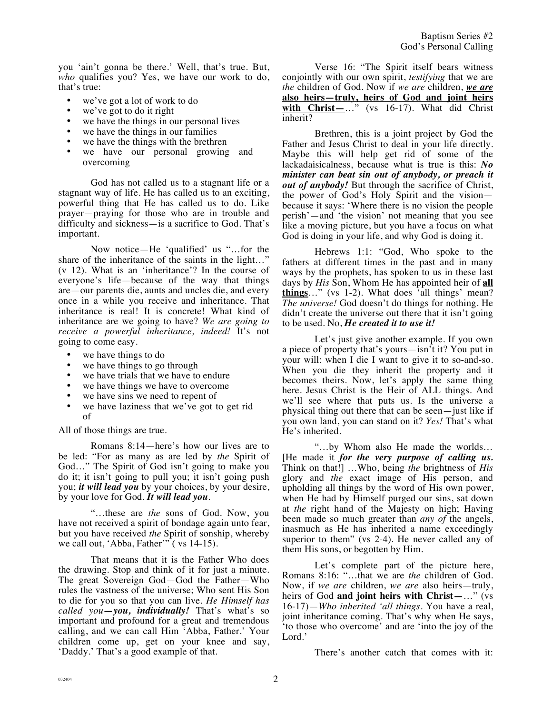you 'ain't gonna be there.' Well, that's true. But, *who* qualifies you? Yes, we have our work to do, that's true:

- we've got a lot of work to do
- we've got to do it right
- we have the things in our personal lives
- we have the things in our families
- we have the things with the brethren
- we have our personal growing and overcoming

God has not called us to a stagnant life or a stagnant way of life. He has called us to an exciting, powerful thing that He has called us to do. Like prayer—praying for those who are in trouble and difficulty and sickness—is a sacrifice to God. That's important.

Now notice—He 'qualified' us "…for the share of the inheritance of the saints in the light…" (v 12). What is an 'inheritance'? In the course of everyone's life—because of the way that things are—our parents die, aunts and uncles die, and every once in a while you receive and inheritance. That inheritance is real! It is concrete! What kind of inheritance are we going to have? *We are going to receive a powerful inheritance, indeed!* It's not going to come easy.

- we have things to do
- we have things to go through
- we have trials that we have to endure
- we have things we have to overcome
- we have sins we need to repent of
- we have laziness that we've got to get rid of

All of those things are true.

Romans 8:14—here's how our lives are to be led: "For as many as are led by *the* Spirit of God..." The Spirit of God isn't going to make you do it; it isn't going to pull you; it isn't going push you; *it will lead you* by your choices, by your desire, by your love for God. *It will lead you*.

"…these are *the* sons of God. Now, you have not received a spirit of bondage again unto fear, but you have received *the* Spirit of sonship, whereby we call out, 'Abba, Father'" (vs 14-15).

That means that it is the Father Who does the drawing. Stop and think of it for just a minute. The great Sovereign God—God the Father—Who rules the vastness of the universe; Who sent His Son to die for you so that you can live. *He Himself has called you—you, individually!* That's what's so important and profound for a great and tremendous calling, and we can call Him 'Abba, Father.' Your children come up, get on your knee and say, 'Daddy.' That's a good example of that.

Verse 16: "The Spirit itself bears witness conjointly with our own spirit, *testifying* that we are *the* children of God. Now if *we are* children, *we are* **also heirs—truly, heirs of God and joint heirs with Christ—**…" (vs 16-17). What did Christ inherit?

Brethren, this is a joint project by God the Father and Jesus Christ to deal in your life directly. Maybe this will help get rid of some of the lackadaisicalness, because what is true is this: *No minister can beat sin out of anybody, or preach it out of anybody!* But through the sacrifice of Christ, the power of God's Holy Spirit and the vision because it says: 'Where there is no vision the people perish'—and 'the vision' not meaning that you see like a moving picture, but you have a focus on what God is doing in your life, and why God is doing it.

Hebrews 1:1: "God, Who spoke to the fathers at different times in the past and in many ways by the prophets, has spoken to us in these last days by *His* Son, Whom He has appointed heir of **all things**…" (vs 1-2). What does 'all things' mean? *The universe!* God doesn't do things for nothing. He didn't create the universe out there that it isn't going to be used. No, *He created it to use it!*

Let's just give another example. If you own a piece of property that's yours—isn't it? You put in your will: when I die I want to give it to so-and-so. When you die they inherit the property and it becomes theirs. Now, let's apply the same thing here. Jesus Christ is the Heir of ALL things. And we'll see where that puts us. Is the universe a physical thing out there that can be seen—just like if you own land, you can stand on it? *Yes!* That's what He's inherited.

"…by Whom also He made the worlds… [He made it *for the very purpose of calling us.* Think on that!] …Who, being *the* brightness of *His* glory and *the* exact image of His person, and upholding all things by the word of His own power, when He had by Himself purged our sins, sat down at *the* right hand of the Majesty on high; Having been made so much greater than *any of* the angels, inasmuch as He has inherited a name exceedingly superior to them" (vs 2-4). He never called any of them His sons, or begotten by Him.

Let's complete part of the picture here, Romans 8:16: "…that we are *the* children of God. Now, if *we are* children, *we are* also heirs—truly, heirs of God **and joint heirs with Christ—**…" (vs 16-17)—*Who inherited 'all things.* You have a real, joint inheritance coming. That's why when He says, 'to those who overcome' and are 'into the joy of the Lord.'

There's another catch that comes with it: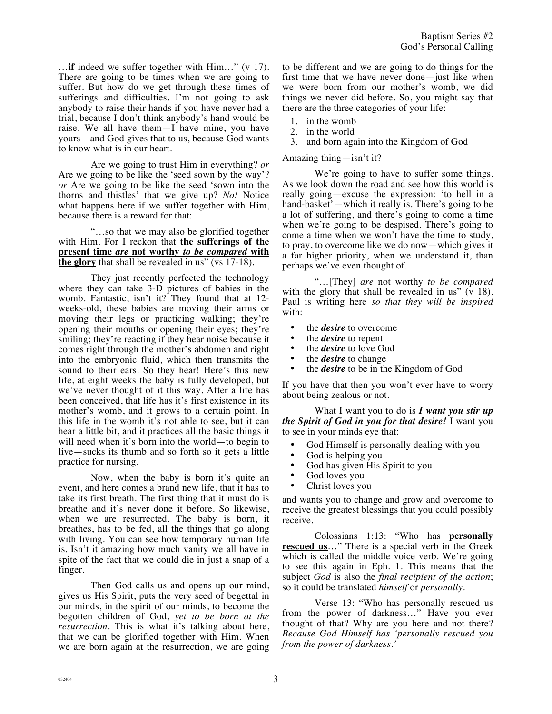…**if** indeed we suffer together with Him…" (v 17). There are going to be times when we are going to suffer. But how do we get through these times of sufferings and difficulties. I'm not going to ask anybody to raise their hands if you have never had a trial, because I don't think anybody's hand would be raise. We all have them—I have mine, you have yours—and God gives that to us, because God wants to know what is in our heart.

Are we going to trust Him in everything? *or*  Are we going to be like the 'seed sown by the way'? *or* Are we going to be like the seed 'sown into the thorns and thistles' that we give up? *No!* Notice what happens here if we suffer together with Him, because there is a reward for that:

"…so that we may also be glorified together with Him. For I reckon that **the sufferings of the present time** *are* **not worthy** *to be compared* **with the glory** that shall be revealed in us" (vs 17-18).

They just recently perfected the technology where they can take 3-D pictures of babies in the womb. Fantastic, isn't it? They found that at 12 weeks-old, these babies are moving their arms or moving their legs or practicing walking; they're opening their mouths or opening their eyes; they're smiling; they're reacting if they hear noise because it comes right through the mother's abdomen and right into the embryonic fluid, which then transmits the sound to their ears. So they hear! Here's this new life, at eight weeks the baby is fully developed, but we've never thought of it this way. After a life has been conceived, that life has it's first existence in its mother's womb, and it grows to a certain point. In this life in the womb it's not able to see, but it can hear a little bit, and it practices all the basic things it will need when it's born into the world—to begin to live—sucks its thumb and so forth so it gets a little practice for nursing.

Now, when the baby is born it's quite an event, and here comes a brand new life, that it has to take its first breath. The first thing that it must do is breathe and it's never done it before. So likewise, when we are resurrected. The baby is born, it breathes, has to be fed, all the things that go along with living. You can see how temporary human life is. Isn't it amazing how much vanity we all have in spite of the fact that we could die in just a snap of a finger.

Then God calls us and opens up our mind, gives us His Spirit, puts the very seed of begettal in our minds, in the spirit of our minds, to become the begotten children of God, *yet to be born at the resurrection.* This is what it's talking about here, that we can be glorified together with Him. When we are born again at the resurrection, we are going to be different and we are going to do things for the first time that we have never done—just like when we were born from our mother's womb, we did things we never did before. So, you might say that there are the three categories of your life:

- 1. in the womb
- 2. in the world
- 3. and born again into the Kingdom of God

Amazing thing—isn't it?

We're going to have to suffer some things. As we look down the road and see how this world is really going—excuse the expression: 'to hell in a hand-basket'—which it really is. There's going to be a lot of suffering, and there's going to come a time when we're going to be despised. There's going to come a time when we won't have the time to study, to pray, to overcome like we do now—which gives it a far higher priority, when we understand it, than perhaps we've even thought of.

"…[They] *are* not worthy *to be compared* with the glory that shall be revealed in us"  $(v 18)$ . Paul is writing here *so that they will be inspired* with:

- the *desire* to overcome
- the *desire* to repent
- the *desire* to love God
- the *desire* to change
- the *desire* to be in the Kingdom of God

If you have that then you won't ever have to worry about being zealous or not.

What I want you to do is *I want you stir up the Spirit of God in you for that desire!* I want you to see in your minds eye that:

- God Himself is personally dealing with you
- God is helping you<br>• God has given His!
- God has given His Spirit to you<br>• God loves you
- God loves you
- Christ loves you

and wants you to change and grow and overcome to receive the greatest blessings that you could possibly receive.

Colossians 1:13: "Who has **personally rescued us**…" There is a special verb in the Greek which is called the middle voice verb. We're going to see this again in Eph. 1. This means that the subject *God* is also the *final recipient of the action*; so it could be translated *himself* or *personally.*

Verse 13: "Who has personally rescued us from the power of darkness…" Have you ever thought of that? Why are you here and not there? *Because God Himself has 'personally rescued you from the power of darkness.'*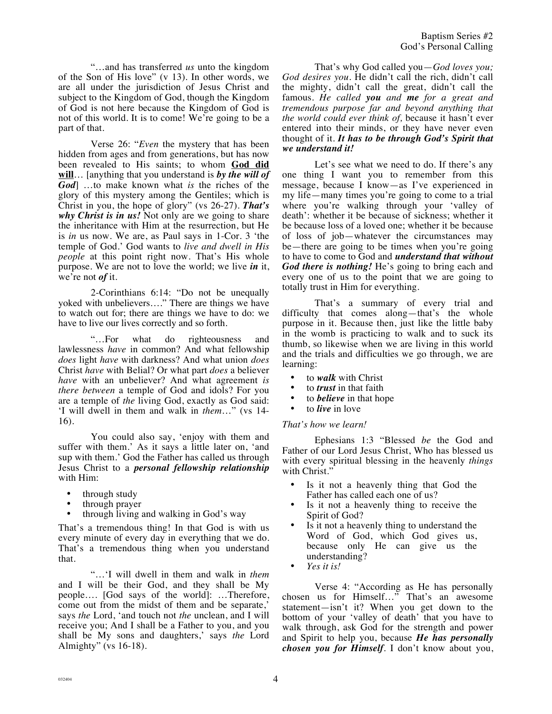"…and has transferred *us* unto the kingdom of the Son of His love" (v 13). In other words, we are all under the jurisdiction of Jesus Christ and subject to the Kingdom of God, though the Kingdom of God is not here because the Kingdom of God is not of this world. It is to come! We're going to be a part of that.

Verse 26: "*Even* the mystery that has been hidden from ages and from generations, but has now been revealed to His saints; to whom **God did will**… [anything that you understand is *by the will of God*] …to make known what *is* the riches of the glory of this mystery among the Gentiles; which is Christ in you, the hope of glory" (vs 26-27). *That's why Christ is in us!* Not only are we going to share the inheritance with Him at the resurrection, but He is *in* us now. We are, as Paul says in 1-Cor. 3 'the temple of God.' God wants to *live and dwell in His people* at this point right now. That's His whole purpose. We are not to love the world; we live *in* it, we're not *of* it.

2-Corinthians 6:14: "Do not be unequally yoked with unbelievers…." There are things we have to watch out for; there are things we have to do: we have to live our lives correctly and so forth.

"…For what do righteousness and lawlessness *have* in common? And what fellowship *does* light *have* with darkness? And what union *does* Christ *have* with Belial? Or what part *does* a believer *have* with an unbeliever? And what agreement *is there between* a temple of God and idols? For you are a temple of *the* living God, exactly as God said: 'I will dwell in them and walk in *them*…" (vs 14- 16).

You could also say, 'enjoy with them and suffer with them.' As it says a little later on, 'and sup with them.' God the Father has called us through Jesus Christ to a *personal fellowship relationship* with Him:

- through study
- through prayer
- through living and walking in God's way

That's a tremendous thing! In that God is with us every minute of every day in everything that we do. That's a tremendous thing when you understand that.

"…'I will dwell in them and walk in *them* and I will be their God, and they shall be My people…. [God says of the world]: …Therefore, come out from the midst of them and be separate,' says *the* Lord, 'and touch not *the* unclean, and I will receive you; And I shall be a Father to you, and you shall be My sons and daughters,' says *the* Lord Almighty" (vs 16-18).

That's why God called you—*God loves you; God desires you.* He didn't call the rich, didn't call the mighty, didn't call the great, didn't call the famous. *He called you and me for a great and tremendous purpose far and beyond anything that the world could ever think of,* because it hasn't ever entered into their minds, or they have never even thought of it. *It has to be through God's Spirit that we understand it!*

Let's see what we need to do. If there's any one thing I want you to remember from this message, because I know—as I've experienced in my life—many times you're going to come to a trial where you're walking through your 'valley of death': whether it be because of sickness; whether it be because loss of a loved one; whether it be because of loss of job—whatever the circumstances may be—there are going to be times when you're going to have to come to God and *understand that without God there is nothing!* He's going to bring each and every one of us to the point that we are going to totally trust in Him for everything.

That's a summary of every trial and difficulty that comes along—that's the whole purpose in it. Because then, just like the little baby in the womb is practicing to walk and to suck its thumb, so likewise when we are living in this world and the trials and difficulties we go through, we are learning:

- to *walk* with Christ
- to *trust* in that faith
- to *believe* in that hope
- to *live* in love

## *That's how we learn!*

Ephesians 1:3 "Blessed *be* the God and Father of our Lord Jesus Christ, Who has blessed us with every spiritual blessing in the heavenly *things* with Christ.'

- Is it not a heavenly thing that God the Father has called each one of us?
- Is it not a heavenly thing to receive the Spirit of God?
- Is it not a heavenly thing to understand the Word of God, which God gives us, because only He can give us the understanding?
- *Yes it is!*

Verse 4: "According as He has personally chosen us for Himself…" That's an awesome statement—isn't it? When you get down to the bottom of your 'valley of death' that you have to walk through, ask God for the strength and power and Spirit to help you, because *He has personally chosen you for Himself*. I don't know about you,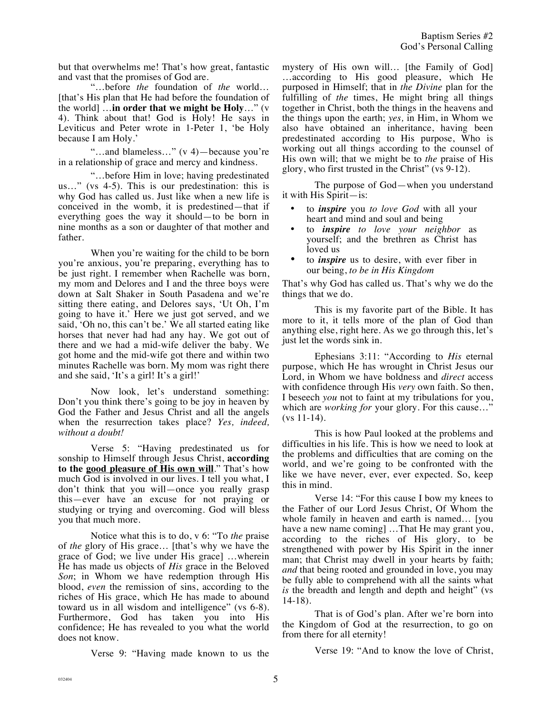but that overwhelms me! That's how great, fantastic and vast that the promises of God are.

"…before *the* foundation of *the* world… [that's His plan that He had before the foundation of the world] …**in order that we might be Holy**…" (v 4). Think about that! God is Holy! He says in Leviticus and Peter wrote in 1-Peter 1, 'be Holy because I am Holy.'

"…and blameless…" (v 4)—because you're in a relationship of grace and mercy and kindness.

"…before Him in love; having predestinated us…" (vs 4-5). This is our predestination: this is why God has called us. Just like when a new life is conceived in the womb, it is predestined—that if everything goes the way it should—to be born in nine months as a son or daughter of that mother and father.

When you're waiting for the child to be born you're anxious, you're preparing, everything has to be just right. I remember when Rachelle was born, my mom and Delores and I and the three boys were down at Salt Shaker in South Pasadena and we're sitting there eating, and Delores says, 'Ut Oh, I'm going to have it.' Here we just got served, and we said, 'Oh no, this can't be.' We all started eating like horses that never had had any hay. We got out of there and we had a mid-wife deliver the baby. We got home and the mid-wife got there and within two minutes Rachelle was born. My mom was right there and she said, 'It's a girl! It's a girl!'

Now look, let's understand something: Don't you think there's going to be joy in heaven by God the Father and Jesus Christ and all the angels when the resurrection takes place? *Yes, indeed, without a doubt!*

Verse 5: "Having predestinated us for sonship to Himself through Jesus Christ, **according to the good pleasure of His own will**." That's how much God is involved in our lives. I tell you what, I don't think that you will—once you really grasp this—ever have an excuse for not praying or studying or trying and overcoming. God will bless you that much more.

Notice what this is to do, v 6: "To *the* praise of *the* glory of His grace… [that's why we have the grace of God; we live under His grace] …wherein He has made us objects of *His* grace in the Beloved *Son*; in Whom we have redemption through His blood, *even* the remission of sins, according to the riches of His grace, which He has made to abound toward us in all wisdom and intelligence" (vs 6-8). Furthermore, God has taken you into His confidence; He has revealed to you what the world does not know.

Verse 9: "Having made known to us the

mystery of His own will… [the Family of God] …according to His good pleasure, which He purposed in Himself; that in *the Divine* plan for the fulfilling of *the* times, He might bring all things together in Christ, both the things in the heavens and the things upon the earth; *yes,* in Him, in Whom we also have obtained an inheritance, having been predestinated according to His purpose, Who is working out all things according to the counsel of His own will; that we might be to *the* praise of His glory, who first trusted in the Christ" (vs 9-12).

The purpose of God—when you understand it with His Spirit—is:

- to *inspire* you *to love God* with all your heart and mind and soul and being
- to *inspire to love your neighbor* as yourself; and the brethren as Christ has loved us
- to *inspire* us to desire, with ever fiber in our being, *to be in His Kingdom*

That's why God has called us. That's why we do the things that we do.

This is my favorite part of the Bible. It has more to it, it tells more of the plan of God than anything else, right here. As we go through this, let's just let the words sink in.

Ephesians 3:11: "According to *His* eternal purpose, which He has wrought in Christ Jesus our Lord, in Whom we have boldness and *direct* access with confidence through His *very* own faith. So then, I beseech *you* not to faint at my tribulations for you, which are *working for* your glory. For this cause…" (vs 11-14).

This is how Paul looked at the problems and difficulties in his life. This is how we need to look at the problems and difficulties that are coming on the world, and we're going to be confronted with the like we have never, ever, ever expected. So, keep this in mind.

Verse 14: "For this cause I bow my knees to the Father of our Lord Jesus Christ, Of Whom the whole family in heaven and earth is named… [you have a new name coming] ...That He may grant you, according to the riches of His glory, to be strengthened with power by His Spirit in the inner man; that Christ may dwell in your hearts by faith; *and* that being rooted and grounded in love, you may be fully able to comprehend with all the saints what *is* the breadth and length and depth and height" (vs 14-18).

That is of God's plan. After we're born into the Kingdom of God at the resurrection, to go on from there for all eternity!

Verse 19: "And to know the love of Christ,